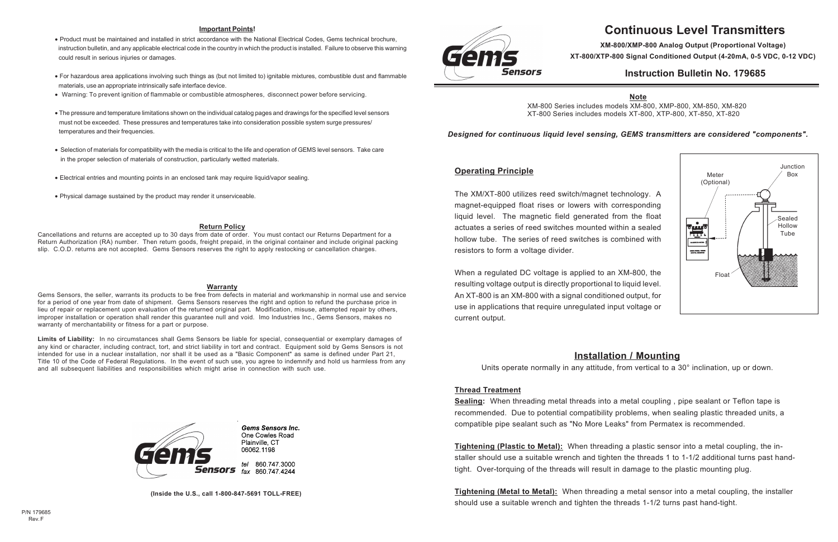# **Continuous Level Transmitters**

**XM-800/XMP-800 Analog Output (Proportional Voltage) XT-800/XTP-800 Signal Conditioned Output (4-20mA, 0-5 VDC, 0-12 VDC)**

## **Instruction Bulletin No. 179685**

## **Operating Principle**

The XM/XT-800 utilizes reed switch/magnet technology. A magnet-equipped float rises or lowers with corresponding liquid level. The magnetic field generated from the float actuates a series of reed switches mounted within a sealed hollow tube. The series of reed switches is combined with resistors to form a voltage divider.

When a regulated DC voltage is applied to an XM-800, the resulting voltage output is directly proportional to liquid level. An XT-800 is an XM-800 with a signal conditioned output, for use in applications that require unregulated input voltage or current output.

## **Installation / Mounting**

Units operate normally in any attitude, from vertical to a 30° inclination, up or down.

## **Thread Treatment**

**Sealing:** When threading metal threads into a metal coupling , pipe sealant or Teflon tape is recommended. Due to potential compatibility problems, when sealing plastic threaded units, a compatible pipe sealant such as "No More Leaks" from Permatex is recommended.

**Tightening (Plastic to Metal):** When threading a plastic sensor into a metal coupling, the installer should use a suitable wrench and tighten the threads 1 to 1-1/2 additional turns past handtight. Over-torquing of the threads will result in damage to the plastic mounting plug.

**Tightening (Metal to Metal):** When threading a metal sensor into a metal coupling, the installer should use a suitable wrench and tighten the threads 1-1/2 turns past hand-tight.



#### **Important Points!**

- Product must be maintained and installed in strict accordance with the National Electrical Codes, Gems technical brochure, instruction bulletin, and any applicable electrical code in the country in which the product is installed. Failure to observe this warning could result in serious injuries or damages.
- For hazardous area applications involving such things as (but not limited to) ignitable mixtures, combustible dust and flammable materials, use an appropriate intrinsically safe interface device.
- Warning: To prevent ignition of flammable or combustible atmospheres, disconnect power before servicing.
- The pressure and temperature limitations shown on the individual catalog pages and drawings for the specified level sensors must not be exceeded. These pressures and temperatures take into consideration possible system surge pressures/ temperatures and their frequencies.
- Selection of materials for compatibility with the media is critical to the life and operation of GEMS level sensors. Take care in the proper selection of materials of construction, particularly wetted materials.
- Electrical entries and mounting points in an enclosed tank may require liquid/vapor sealing.
- Physical damage sustained by the product may render it unserviceable.

#### **Warranty**

Gems Sensors, the seller, warrants its products to be free from defects in material and workmanship in normal use and service for a period of one year from date of shipment. Gems Sensors reserves the right and option to refund the purchase price in lieu of repair or replacement upon evaluation of the returned original part. Modification, misuse, attempted repair by others, improper installation or operation shall render this guarantee null and void. Imo Industries Inc., Gems Sensors, makes no warranty of merchantability or fitness for a part or purpose.

**Limits of Liability:** In no circumstances shall Gems Sensors be liable for special, consequential or exemplary damages of any kind or character, including contract, tort, and strict liability in tort and contract. Equipment sold by Gems Sensors is not intended for use in a nuclear installation, nor shall it be used as a "Basic Component" as same is defined under Part 21, Title 10 of the Code of Federal Regulations. In the event of such use, you agree to indemnify and hold us harmless from any and all subsequent liabilities and responsibilities which might arise in connection with such use.



**Gems Sensors Inc.** One Cowles Road Plainville, CT 06062.1198

tel 860 747 3000 fax 860 747 4244

#### **Return Policy**

Cancellations and returns are accepted up to 30 days from date of order. You must contact our Returns Department for a Return Authorization (RA) number. Then return goods, freight prepaid, in the original container and include original packing slip. C.O.D. returns are not accepted. Gems Sensors reserves the right to apply restocking or cancellation charges.

**(Inside the U.S., call 1-800-847-5691 TOLL-FREE)**



## *Designed for continuous liquid level sensing, GEMS transmitters are considered "components".*

### **Note**

XM-800 Series includes models XM-800, XMP-800, XM-850, XM-820 XT-800 Series includes models XT-800, XTP-800, XT-850, XT-820